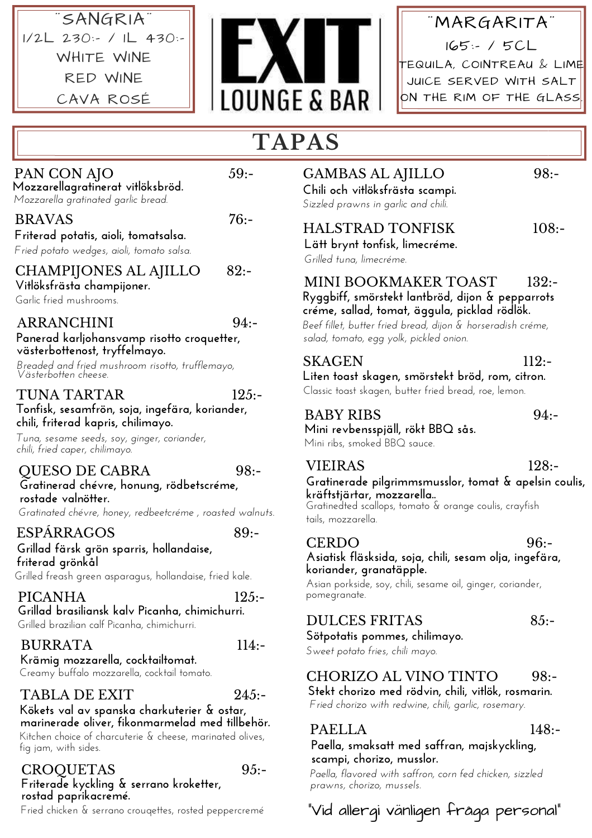# ¨SANGRIA¨ 1/2L 230:- / 1L 430:- WHITE WINE RED WINE CAVA ROSÉ



¨MARGARITA¨ 165:- / 5CL  $\overline{\phantom{a}}$ EQUILA, COINTREAU & LIME JUICE SERVED WITH SALT ON THE RIM OF THE GLASS

# **TAPAS**

# PAN CON AJO 59:-

**Mozzarellagratinerat vitlöksbröd.** *Mozzarella gratinated garlic bread.*

BRAVAS 76:-

# **Friterad potatis, aioli, tomatsalsa.**

*Fried potato wedges, aioli, tomato salsa.*

CHAMPIJONES AL AJILLO 82:- **Vitlöksfrästa champijoner.**

Garlic fried mushrooms.

#### ARRANCHINI 94:-

#### **Panerad karljohansvamp risotto croquetter, västerbottenost, tryffelmayo.**

*Breaded and fried mushroom risotto, trufflemayo, Västerbotten cheese.*

## TUNA TARTAR 125:-

**Tonfisk, sesamfrön, soja, ingefära, koriander, chili, friterad kapris, chilimayo.**

*Tuna, sesame seeds, soy, ginger, coriander, chili, fried caper, chilimayo.*

#### QUESO DE CABRA 98:-

**Gratinerad chévre, honung, rödbetscréme, rostade valnötter.**

*Gratinated chévre, honey, redbeetcréme , roasted walnuts.*

#### ESPÁRRAGOS 89:-

**Grillad färsk grön sparris, hollandaise, friterad grönkål**

Grilled freash green asparagus, hollandaise, fried kale.

PICANHA 125:-**Grillad brasiliansk kalv Picanha, chimichurri.**

# Grilled brazilian calf Picanha, chimichurri.

#### BURRATA 114:-

**Krämig mozzarella, cocktailtomat.** Creamy buffalo mozzarella, cocktail tomato.

# TABLA DE EXIT 245:-

#### **Kökets val av spanska charkuterier & ostar, marinerade oliver, fikonmarmelad med tillbehör.**

Kitchen choice of charcuterie & cheese, marinated olives, fig jam, with sides.

#### CROQUETAS 95:- **Friterade kyckling & serrano kroketter, rostad paprikacremé.**

# GAMBAS AL AJILLO 98:-**Chili och vitlöksfrästa scampi.**

# *Sizzled prawns in garlic and chili.*

# HALSTRAD TONFISK 108:-

**Lätt brynt tonfisk, limecréme.** *Grilled tuna, limecréme.*

#### MINI BOOKMAKER TOAST 132:-**Ryggbiff, smörstekt lantbröd, dijon & pepparrots créme, sallad, tomat, äggula, picklad rödlök.**

*Beef fillet, butter fried bread, dijon & horseradish créme, salad, tomato, egg yolk, pickled onion.*

#### SKAGEN 112:-

**Liten toast skagen, smörstekt bröd, rom, citron.** Classic toast skagen, butter fried bread, roe, lemon.

## BABY RIBS 94:-

**Mini revbensspjäll, rökt BBQ sås.** Mini ribs, smoked BBQ sauce.

#### VIEIRAS 128:- **Gratinerade pilgrimmsmusslor, tomat & apelsin coulis, kräftstjärtar, mozzarella..**

Gratinedted scallops, tomato & orange coulis, crayfish tails, mozzarella.

CERDO 96:-**Asiatisk fläsksida, soja, chili, sesam olja, ingefära, koriander, granatäpple.**

Asian porkside, soy, chili, sesame oil, ginger, coriander, pomegranate.

## DULCES FRITAS 85:-

## **Sötpotatis pommes, chilimayo.**

*Sweet potato fries, chili mayo.*

# CHORIZO AL VINO TINTO 98:-

**Stekt chorizo med rödvin, chili, vitlök, rosmarin.** *Fried chorizo with redwine, chili, garlic, rosemary.*

## PAELLA 148:-

**Paella, smaksatt med saffran, majskyckling, scampi, chorizo, musslor.**

*Paella, flavored with saffron, corn fed chicken, sizzled prawns, chorizo, mussels.*

# Fried chicken & serrano crouqettes, rosted peppercremé "Vid allergi vänligen fråga personal"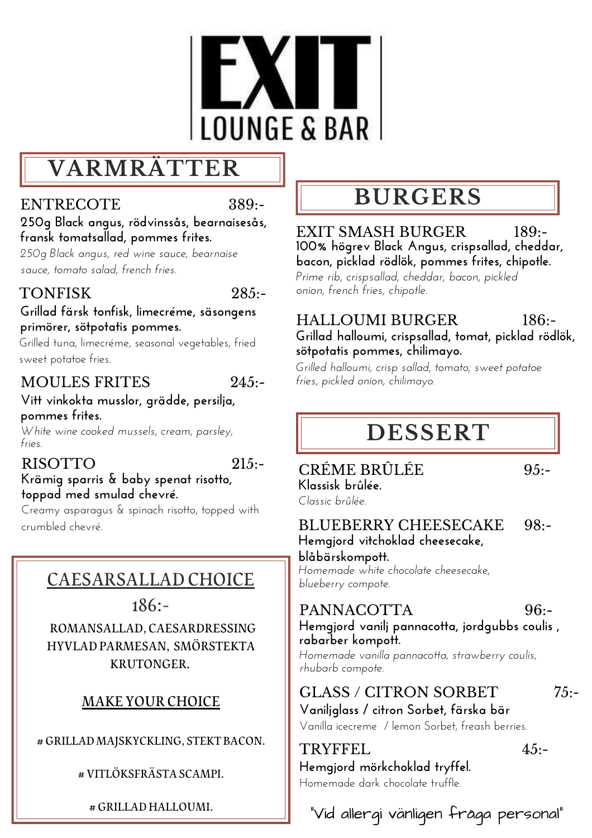

# **VARMRÄTTER**

## ENTRECOTE 389:-

**250g Black angus, rödvinssås, bearnaisesås, fransk tomatsallad, pommes frites.**

*250g Black angus, red wine sauce, bearnaise sauce, tomato salad, french fries.*

# TONFISK 285.

#### **Grillad färsk tonfisk, limecréme, säsongens primörer, sötpotatis pommes.**

Grilled tuna, limecréme, seasonal vegetables, fried sweet potatoe fries.

# MOULES FRITES 245:-

#### **Vitt vinkokta musslor, grädde, persilja, pommes frites.**

*White wine cooked mussels, cream, parsley, fries.*

# RISOTTO 215:-

# **Krämig sparris & baby spenat risotto, toppad med smulad chevré.**

Creamy asparagus & spinach risotto, topped with crumbled chevré.

# CAESARSALLAD CHOICE

186:-

ROMANSALLAD, CAESARDRESSING HYVLADPARMESAN, SMÖRSTEKTA KRUTONGER.

# MAKE YOUR CHOICE

# GRILLAD MAJSKYCKLING, STEKT BACON.

#### #VITLÖKSFRÄSTASCAMPI.

# GRILLADHALLOUMI.

# **BURGERS**

EXIT SMASH BURGER 189:-**100% högrev Black Angus, crispsallad, cheddar, bacon, picklad rödlök, pommes frites, chipotle.** *Prime rib, crispsallad, cheddar, bacon, pickled onion, french fries, chipotle.*

HALLOUMI BURGER 186:- **Grillad halloumi, crispsallad, tomat, picklad rödlök, sötpotatis pommes, chilimayo.**

*Grilled halloumi, crisp sallad, tomato, sweet potatoe fries, pickled onion, chilimayo.*

# **DESSERT**

CRÉME BRÛLÉE 95:- **Klassisk brûlée.**

*Classic brûlée.*

#### BLUEBERRY CHEESECAKE 98:- **Hemgjord vitchoklad cheesecake,**

**blåbärskompott.**

*Homemade white chocolate cheesecake, blueberry compote.*

#### PANNACOTTA 96:-**Hemgjord vanilj pannacotta, jordgubbs coulis ,**

**rabarber kompott.** *Homemade vanilla pannacotta, strawberry coulis, rhubarb compote.*

# $GLASS / CITRON SORBET$  75:-**Vaniljglass / citron Sorbet, färska bär**

Vanilla icecreme / lemon Sorbet, freash berries.

TRYFFEL 45:-

Homemade dark chocolate truffle. **Hemgjord mörkchoklad tryffel.**

"Vid allergi vänligen fråga personal"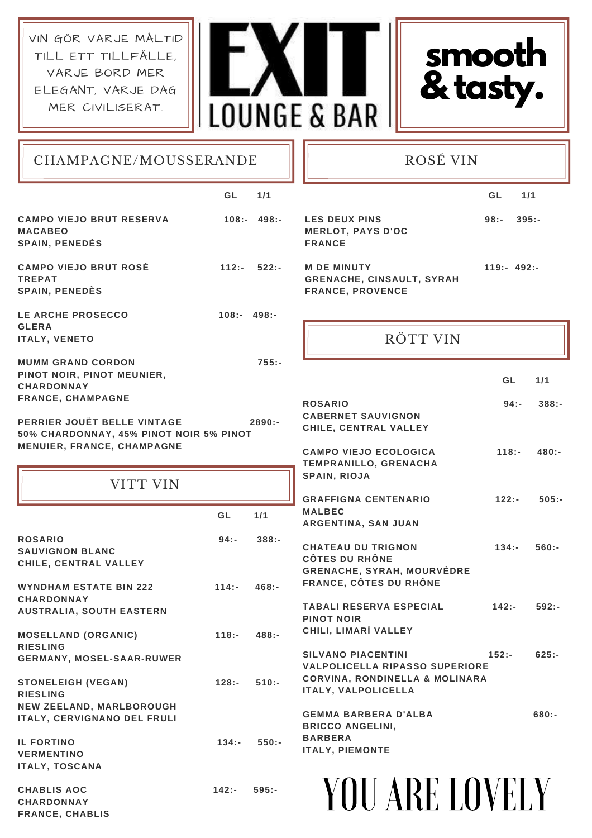VIN GÖR VARJE MÅLTID TILL ETT TILLFÄLLE, VARJE BORD MER ELEGANT, VARJE DAG MER CIVILISERAT.





CHAMPAGNE/MOUSSERANDE

#### ROSÉ VIN

|                                                                                                    | GL.          | $1/1$         |                                                                                                                 | GL             | $1/1$               |
|----------------------------------------------------------------------------------------------------|--------------|---------------|-----------------------------------------------------------------------------------------------------------------|----------------|---------------------|
| <b>CAMPO VIEJO BRUT RESERVA</b><br><b>MACABEO</b><br><b>SPAIN, PENEDES</b>                         |              | $108:- 498:-$ | <b>LES DEUX PINS</b><br><b>MERLOT, PAYS D'OC</b><br><b>FRANCE</b>                                               | 98:-           | $395: -$            |
| <b>CAMPO VIEJO BRUT ROSÉ</b><br><b>TREPAT</b><br><b>SPAIN, PENEDES</b>                             | $112: -$     | $522: -$      | <b>M DE MINUTY</b><br><b>GRENACHE, CINSAULT, SYRAH</b><br><b>FRANCE, PROVENCE</b>                               | $119: -492: -$ |                     |
| LE ARCHE PROSECCO<br><b>GLERA</b><br><b>ITALY, VENETO</b>                                          | $108:-498:-$ |               | RÖTT VIN                                                                                                        |                |                     |
| <b>MUMM GRAND CORDON</b><br>PINOT NOIR, PINOT MEUNIER,<br><b>CHARDONNAY</b>                        |              | $755: -$      |                                                                                                                 | <b>GL</b>      | $1/1$               |
| <b>FRANCE, CHAMPAGNE</b><br>PERRIER JOUËT BELLE VINTAGE<br>50% CHARDONNAY, 45% PINOT NOIR 5% PINOT |              | $2890: -$     | <b>ROSARIO</b><br><b>CABERNET SAUVIGNON</b><br>CHILE, CENTRAL VALLEY                                            |                | $94: -$<br>$388: -$ |
| MENUIER, FRANCE, CHAMPAGNE                                                                         |              |               | <b>CAMPO VIEJO ECOLOGICA</b><br>TEMPRANILLO, GRENACHA<br>SPAIN, RIOJA                                           | $118: -$       | $480: -$            |
| <b>VITT VIN</b>                                                                                    | GL           | 1/1           | <b>GRAFFIGNA CENTENARIO</b><br><b>MALBEC</b>                                                                    | $122: -$       | $505: -$            |
| <b>ROSARIO</b><br><b>SAUVIGNON BLANC</b><br>CHILE, CENTRAL VALLEY                                  | $94: -$      | $388: -$      | ARGENTINA, SAN JUAN<br><b>CHATEAU DU TRIGNON</b><br><b>CÔTES DU RHÔNE</b>                                       | $134: -$       | $560: -$            |
| <b>WYNDHAM ESTATE BIN 222</b><br><b>CHARDONNAY</b>                                                 | $114: -$     | $468: -$      | <b>GRENACHE, SYRAH, MOURVÈDRE</b><br><b>FRANCE, CÔTES DU RHÔNE</b>                                              |                |                     |
| <b>AUSTRALIA, SOUTH EASTERN</b><br><b>MOSELLAND (ORGANIC)</b>                                      | $118: -$     | $488: -$      | <b>TABALI RESERVA ESPECIAL</b><br><b>PINOT NOIR</b><br>CHILI, LIMARÍ VALLEY                                     | $142: -$       | $592: -$            |
| <b>RIESLING</b><br><b>GERMANY, MOSEL-SAAR-RUWER</b>                                                |              |               | <b>SILVANO PIACENTINI</b><br><b>VALPOLICELLA RIPASSO SUPERIORE</b><br><b>CORVINA, RONDINELLA &amp; MOLINARA</b> | $152: -$       | $625: -$            |
| <b>STONELEIGH (VEGAN)</b><br><b>RIESLING</b><br>NEW ZEELAND, MARLBOROUGH                           | $128: -$     | $510:-$       | ITALY, VALPOLICELLA<br><b>GEMMA BARBERA D'ALBA</b>                                                              |                | $680: -$            |
| ITALY, CERVIGNANO DEL FRULI<br><b>IL FORTINO</b><br><b>VERMENTINO</b><br><b>ITALY, TOSCANA</b>     | $134: -$     | $550:-$       | <b>BRICCO ANGELINI,</b><br><b>BARBERA</b><br><b>ITALY, PIEMONTE</b>                                             |                |                     |
| <b>CHABLIS AOC</b><br><b>CHARDONNAY</b>                                                            | $142: -$     | $595: -$      | YOU ARE LOVELY                                                                                                  |                |                     |

**CHARDONNAY FRANCE, CHABLIS**